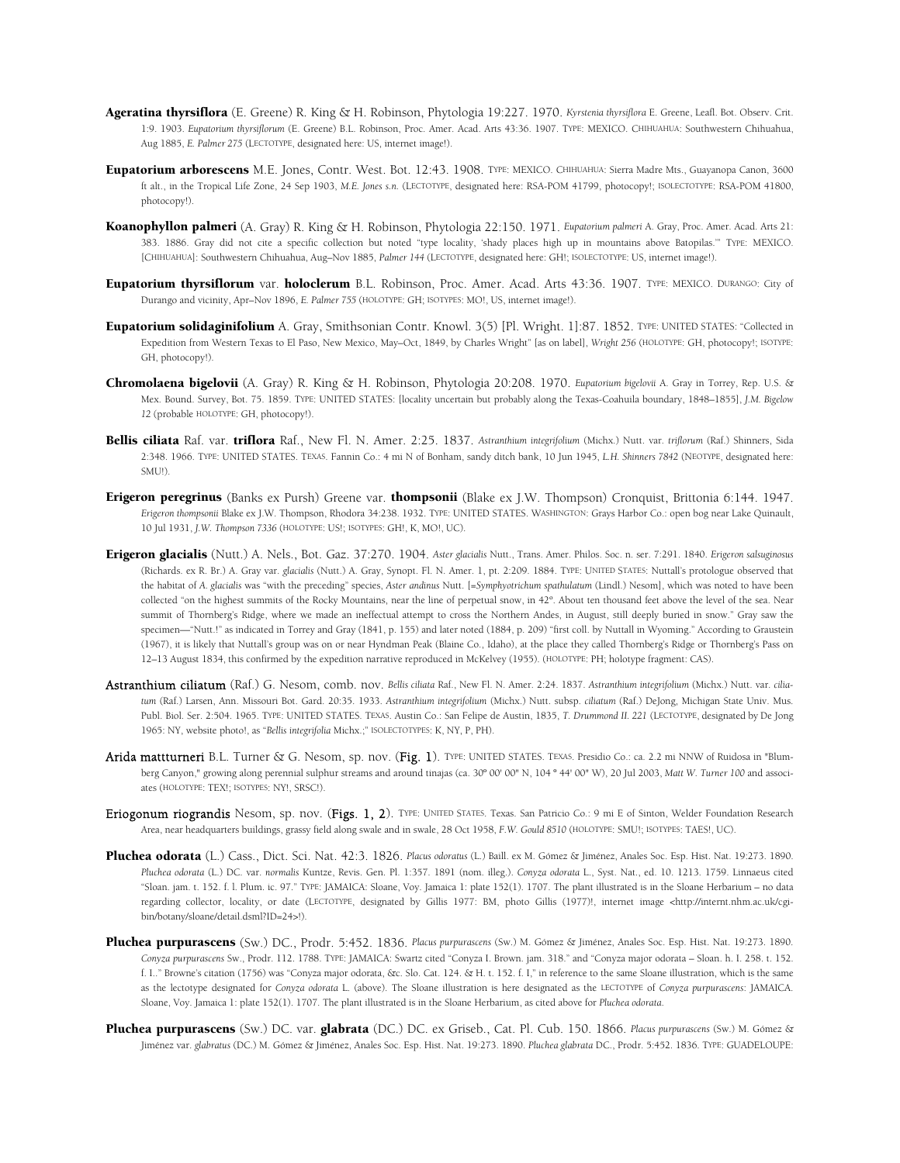- Ageratina thyrsiflora (E. Greene) R. King & H. Robinson, Phytologia 19:227. 1970. *Kyrstenia thyrsiflora* E. Greene, Leafl. Bot. Observ. Crit. 1:9. 1903. *Eupatorium thyrsiflorum* (E. Greene) B.L. Robinson, Proc. Amer. Acad. Arts 43:36. 1907. TYPE: MEXICO. CHIHUAHUA: Southwestern Chihuahua, Aug 1885, *E. Palmer 275* (LECTOTYPE, designated here: US, internet image!).
- Eupatorium arborescens M.E. Jones, Contr. West. Bot. 12:43. 1908. TYPE: MEXICO. CHIHUAHUA: Sierra Madre Mts., Guayanopa Canon, 3600 ft alt., in the Tropical Life Zone, 24 Sep 1903, *M.E. Jones s.n.* (LECTOTYPE, designated here: RSA-POM 41799, photocopy!; ISOLECTOTYPE: RSA-POM 41800, photocopy!).
- Koanophyllon palmeri (A. Gray) R. King & H. Robinson, Phytologia 22:150. 1971. *Eupatorium palmeri* A. Gray, Proc. Amer. Acad. Arts 21: 383. 1886. Gray did not cite a specific collection but noted "type locality, 'shady places high up in mountains above Batopilas.'" TYPE: MEXICO. [CHIHUAHUA]: Southwestern Chihuahua, Aug–Nov 1885, *Palmer 144* (LECTOTYPE, designated here: GH!; ISOLECTOTYPE: US, internet image!).
- Eupatorium thyrsiflorum var. holoclerum B.L. Robinson, Proc. Amer. Acad. Arts 43:36. 1907. TYPE: MEXICO. DURANGO: City of Durango and vicinity, Apr–Nov 1896, *E. Palmer 755* (HOLOTYPE: GH; ISOTYPES: MO!, US, internet image!).
- Eupatorium solidaginifolium A. Gray, Smithsonian Contr. Knowl. 3(5) [Pl. Wright. 1]:87. 1852. TYPE: UNITED STATES: "Collected in Expedition from Western Texas to El Paso, New Mexico, May–Oct, 1849, by Charles Wright" [as on label], *Wright 256* (HOLOTYPE: GH, photocopy!; ISOTYPE: GH, photocopy!).
- Chromolaena bigelovii (A. Gray) R. King & H. Robinson, Phytologia 20:208. 1970. *Eupatorium bigelovii* A. Gray in Torrey, Rep. U.S. & Mex. Bound. Survey, Bot. 75. 1859. TYPE: UNITED STATES: [locality uncertain but probably along the Texas-Coahuila boundary, 1848–1855], *J.M. Bigelow 12* (probable HOLOTYPE: GH, photocopy!).
- Bellis ciliata Raf. var. triflora Raf., New Fl. N. Amer. 2:25. 1837. *Astranthium integrifolium* (Michx.) Nutt. var. *triflorum* (Raf.) Shinners, Sida 2:348. 1966. TYPE: UNITED STATES. TEXAS. Fannin Co.: 4 mi N of Bonham, sandy ditch bank, 10 Jun 1945, *L.H. Shinners 7842* (NEOTYPE, designated here: SMU!).
- Erigeron peregrinus (Banks ex Pursh) Greene var. thompsonii (Blake ex J.W. Thompson) Cronquist, Brittonia 6:144. 1947. *Erigeron thompsonii* Blake ex J.W. Thompson, Rhodora 34:238. 1932. TYPE: UNITED STATES. WASHINGTON: Grays Harbor Co.: open bog near Lake Quinault, 10 Jul 1931, *J.W. Thompson 7336* (HOLOTYPE: US!; ISOTYPES: GH!, K, MO!, UC).
- Erigeron glacialis (Nutt.) A. Nels., Bot. Gaz. 37:270. 1904. *Aster glacialis* Nutt., Trans. Amer. Philos. Soc. n. ser. 7:291. 1840. *Erigeron salsuginosus* (Richards. ex R. Br.) A. Gray var. *glacialis* (Nutt.) A. Gray, Synopt. Fl. N. Amer. 1, pt. 2:209. 1884. TYPE: UNITED STATES: Nuttall's protologue observed that the habitat of *A. glacialis* was "with the preceding" species, *Aster andinus* Nutt. [=*Symphyotrichum spathulatum* (Lindl.) Nesom], which was noted to have been collected "on the highest summits of the Rocky Mountains, near the line of perpetual snow, in 42º. About ten thousand feet above the level of the sea. Near summit of Thornberg's Ridge, where we made an ineffectual attempt to cross the Northern Andes, in August, still deeply buried in snow." Gray saw the specimen—"Nutt.!" as indicated in Torrey and Gray (1841, p. 155) and later noted (1884, p. 209) "first coll. by Nuttall in Wyoming." According to Graustein (1967), it is likely that Nuttall's group was on or near Hyndman Peak (Blaine Co., Idaho), at the place they called Thornberg's Ridge or Thornberg's Pass on 12–13 August 1834, this confirmed by the expedition narrative reproduced in McKelvey (1955). (HOLOTYPE: PH; holotype fragment: CAS).
- Astranthium ciliatum (Raf.) G. Nesom, comb. nov. *Bellis ciliata* Raf., New Fl. N. Amer. 2:24. 1837. *Astranthium integrifolium* (Michx.) Nutt. var. *ciliatum* (Raf.) Larsen, Ann. Missouri Bot. Gard. 20:35. 1933. *Astranthium integrifolium* (Michx.) Nutt. subsp. *ciliatum* (Raf.) DeJong, Michigan State Univ. Mus. Publ. Biol. Ser. 2:504. 1965. TYPE: UNITED STATES. TEXAS. Austin Co.: San Felipe de Austin, 1835, *T. Drummond II. 221* (LECTOTYPE, designated by De Jong 1965: NY, website photo!, as "*Bellis integrifolia* Michx.;" ISOLECTOTYPES: K, NY, P, PH).
- Arida mattturneri B.L. Turner & G. Nesom, sp. nov. (Fig. 1). TYPE: UNITED STATES. TEXAS. Presidio Co.: ca. 2.2 mi NNW of Ruidosa in "Blumberg Canyon," growing along perennial sulphur streams and around tinajas (ca. 30º 00' 00" N, 104 º 44' 00" W), 20 Jul 2003, *Matt W. Turner 100* and associates (HOLOTYPE: TEX!; ISOTYPES: NY!, SRSC!).
- Eriogonum riograndis Nesom, sp. nov. (Figs. 1, 2). TYPE: UNITED STATES. Texas. San Patricio Co.: 9 mi E of Sinton, Welder Foundation Research Area, near headquarters buildings, grassy field along swale and in swale, 28 Oct 1958, *F.W. Gould 8510* (HOLOTYPE: SMU!; ISOTYPES: TAES!, UC).
- Pluchea odorata (L.) Cass., Dict. Sci. Nat. 42:3. 1826. *Placus odoratus* (L.) Baill. ex M. Gómez & Jiménez, Anales Soc. Esp. Hist. Nat. 19:273. 1890. *Pluchea odorata* (L.) DC. var. *normalis* Kuntze, Revis. Gen. Pl. 1:357. 1891 (nom. illeg.). *Conyza odorata* L., Syst. Nat., ed. 10. 1213. 1759. Linnaeus cited "Sloan. jam. t. 152. f. l. Plum. ic. 97." TYPE: JAMAICA: Sloane, Voy. Jamaica 1: plate 152(1). 1707. The plant illustrated is in the Sloane Herbarium – no data regarding collector, locality, or date (LECTOTYPE, designated by Gillis 1977: BM, photo Gillis (1977)!, internet image <http://internt.nhm.ac.uk/cgibin/botany/sloane/detail.dsml?ID=24>!).
- Pluchea purpurascens (Sw.) DC., Prodr. 5:452. 1836. *Placus purpurascens* (Sw.) M. Gómez & Jiménez, Anales Soc. Esp. Hist. Nat. 19:273. 1890. *Conyza purpurascens* Sw., Prodr. 112. 1788. TYPE: JAMAICA: Swartz cited "Conyza I. Brown. jam. 318." and "Conyza major odorata – Sloan. h. I. 258. t. 152. f. I.." Browne's citation (1756) was "Conyza major odorata, &c. Slo. Cat. 124. & H. t. 152. f. I," in reference to the same Sloane illustration, which is the same as the lectotype designated for *Conyza odorata* L. (above). The Sloane illustration is here designated as the LECTOTYPE of *Conyza purpurascens*: JAMAICA. Sloane, Voy. Jamaica 1: plate 152(1). 1707. The plant illustrated is in the Sloane Herbarium, as cited above for *Pluchea odorata*.
- Pluchea purpurascens (Sw.) DC. var. glabrata (DC.) DC. ex Griseb., Cat. Pl. Cub. 150. 1866. *Placus purpurascens* (Sw.) M. Gómez & Jiménez var. *glabratus* (DC.) M. Gómez & Jiménez, Anales Soc. Esp. Hist. Nat. 19:273. 1890. *Pluchea glabrata* DC., Prodr. 5:452. 1836. TYPE: GUADELOUPE: